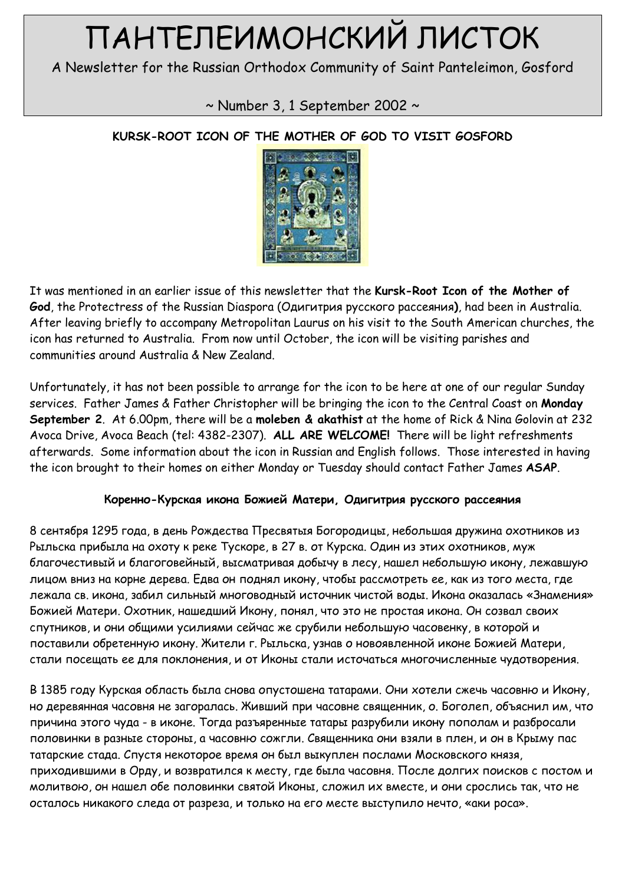# ПАНТЕЛЕИМОНСКИЙ ЛИСТОК

A Newsletter for the Russian Orthodox Community of Saint Panteleimon, Gosford

 $\sim$  Number 3, 1 September 2002  $\sim$ 

# KURSK-ROOT ICON OF THE MOTHER OF GOD TO VISIT GOSFORD



It was mentioned in an earlier issue of this newsletter that the Kursk-Root Icon of the Mother of God, the Protectress of the Russian Diaspora (Одигитрия русского рассеяния), had been in Australia. After leaving briefly to accompany Metropolitan Laurus on his visit to the South American churches, the icon has returned to Australia. From now until October, the icon will be visiting parishes and communities around Australia & New Zealand.

Unfortunately, it has not been possible to arrange for the icon to be here at one of our regular Sunday services. Father James & Father Christopher will be bringing the icon to the Central Coast on Monday September 2. At 6.00pm, there will be a moleben & akathist at the home of Rick & Nina Golovin at 232 Avoca Drive, Avoca Beach (tel: 4382-2307). ALL ARE WELCOME! There will be light refreshments afterwards. Some information about the icon in Russian and English follows. Those interested in having the icon brought to their homes on either Monday or Tuesday should contact Father James ASAP.

# Коренно-Курская икона Божией Матери, Одигитрия русского рассеяния

8 сентября 1295 года, в день Рождества Пресвятыя Богородицы, небольшая дружина охотников из Рыльска прибыла на охоту к реке Тускоре, в 27 в. от Курска. Один из этих охотников, муж благочестивый и благоговейный, высматривая добычу в лесу, нашел небольшую икону, лежавшую лицом вниз на корне дерева. Едва он поднял икону, чтобы рассмотреть ее, как из того места, где лежала св. икона, забил сильный многоводный источник чистой воды. Икона оказалась «Знамения» Божией Матери. Охотник, нашедший Икону, понял, что это не простая икона. Он созвал своих спутников, и они общими усилиями сейчас же срубили небольшую часовенку, в которой и поставили обретенную икону. Жители г. Рыльска, узнав о новоявленной иконе Божией Матери, стали посещать ее для поклонения, и от Иконы стали источаться многочисленные чудотворения.

В 1385 году Курская область была снова опустошена татарами. Они хотели сжечь часовню и Икону, но деревянная часовня не загоралась. Живший при часовне священник, о. Боголеп, объяснил им, что причина этого чуда - в иконе. Тогда разъяренные татары разрубили икону пополам и разбросали половинки в разные стороны, а часовню сожгли. Священника они взяли в плен, и он в Крыму пас татарские стада. Спустя некоторое время он был выкуплен послами Московского князя, приходившими в Орду, и возвратился к месту, где была часовня. После долгих поисков с постом и молитвою, он нашел обе половинки святой Иконы, сложил их вместе, и они срослись так, что не осталось никакого следа от разреза, и только на его месте выступило нечто, «аки роса».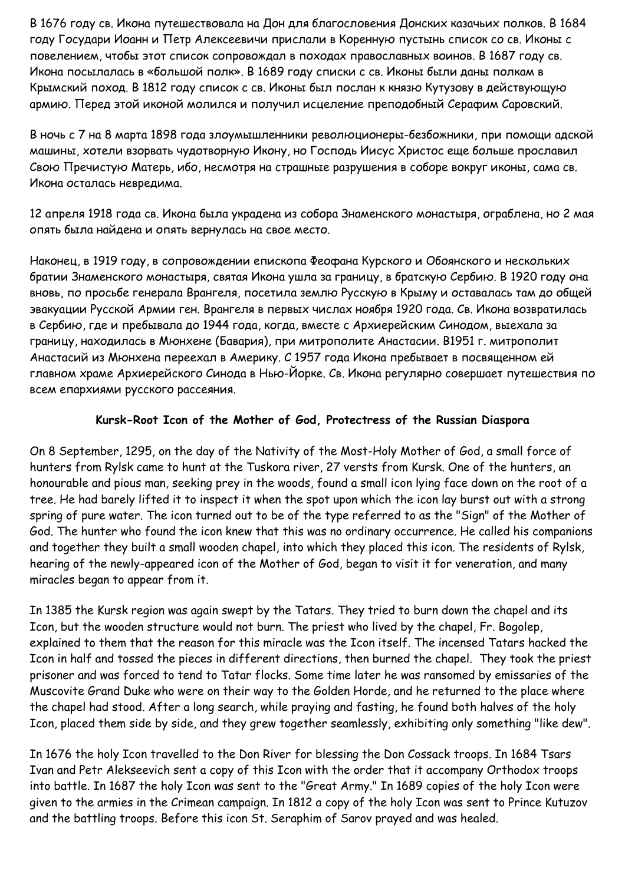В 1676 году св. Икона путешествовала на Дон для благословения Донских казачьих полков. В 1684 году Государи Иоанн и Петр Алексеевичи прислали в Коренную пустынь список со св. Иконы с повелением, чтобы этот список сопровождал в походах православных воинов. В 1687 году св. Икона посылалась в «большой полк». В 1689 году списки с св. Иконы были даны полкам в Крымский поход. В 1812 году список с св. Иконы был послан к князю Кутузову в действующую армию. Перед этой иконой молился и получил исцеление преподобный Серафим Саровский.

В ночь с 7 на 8 марта 1898 года злоумышленники революционеры-безбожники, при помощи адской машины, хотели взорвать чудотворную Икону, но Господь Иисус Христос еще больше прославил Свою Пречистую Матерь, ибо, несмотря на страшные разрушения в соборе вокруг иконы, сама св. Икона осталась невредима.

12 апреля 1918 года св. Икона была украдена из собора Знаменского монастыря, ограблена, но 2 мая опять была найдена и опять вернулась на свое место.

Наконец, в 1919 году, в сопровождении епископа Феофана Курского и Обоянского и нескольких братии Знаменского монастыря, святая Икона ушла за границу, в братскую Сербию. В 1920 году она вновь, по просьбе генерала Врангеля, посетила землю Русскую в Крыму и оставалась там до общей эвакуации Русской Армии ген. Врангеля в первых числах ноября 1920 года. Св. Икона возвратилась в Сербию, где и пребывала до 1944 года, когда, вместе с Архиерейским Синодом, выехала за границу, находилась в Мюнхене (Бавария), при митрополите Анастасии. В1951 г. митрополит Анастасий из Мюнхена переехал в Америку. С 1957 года Икона пребывает в посвященном ей главном храме Архиерейского Синода в Нью-Йорке. Св. Икона регулярно совершает путешествия по всем епархиями русского рассеяния.

#### Kursk-Root Icon of the Mother of God, Protectress of the Russian Diaspora

On 8 September, 1295, on the day of the Nativity of the Most-Holy Mother of God, a small force of hunters from Rylsk came to hunt at the Tuskora river, 27 versts from Kursk. One of the hunters, an honourable and pious man, seeking prey in the woods, found a small icon lying face down on the root of a tree. He had barely lifted it to inspect it when the spot upon which the icon lay burst out with a strong spring of pure water. The icon turned out to be of the type referred to as the "Sign" of the Mother of God. The hunter who found the icon knew that this was no ordinary occurrence. He called his companions and together they built a small wooden chapel, into which they placed this icon. The residents of Rylsk, hearing of the newly-appeared icon of the Mother of God, began to visit it for veneration, and many miracles began to appear from it.

In 1385 the Kursk region was again swept by the Tatars. They tried to burn down the chapel and its Icon, but the wooden structure would not burn. The priest who lived by the chapel, Fr. Bogolep, explained to them that the reason for this miracle was the Icon itself. The incensed Tatars hacked the Icon in half and tossed the pieces in different directions, then burned the chapel. They took the priest prisoner and was forced to tend to Tatar flocks. Some time later he was ransomed by emissaries of the Muscovite Grand Duke who were on their way to the Golden Horde, and he returned to the place where the chapel had stood. After a long search, while praying and fasting, he found both halves of the holy Icon, placed them side by side, and they grew together seamlessly, exhibiting only something "like dew".

In 1676 the holy Icon travelled to the Don River for blessing the Don Cossack troops. In 1684 Tsars Ivan and Petr Alekseevich sent a copy of this Icon with the order that it accompany Orthodox troops into battle. In 1687 the holy Icon was sent to the "Great Army." In 1689 copies of the holy Icon were given to the armies in the Crimean campaign. In 1812 a copy of the holy Icon was sent to Prince Kutuzov and the battling troops. Before this icon St. Seraphim of Sarov prayed and was healed.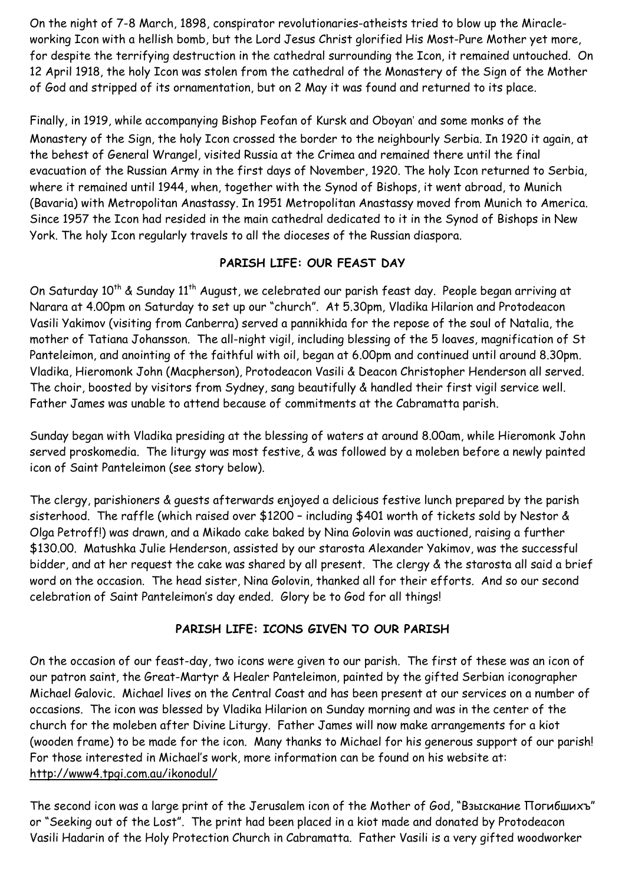On the night of 7-8 March, 1898, conspirator revolutionaries-atheists tried to blow up the Miracleworking Icon with a hellish bomb, but the Lord Jesus Christ glorified His Most-Pure Mother yet more, for despite the terrifying destruction in the cathedral surrounding the Icon, it remained untouched. On 12 April 1918, the holy Icon was stolen from the cathedral of the Monastery of the Sign of the Mother of God and stripped of its ornamentation, but on 2 May it was found and returned to its place.

Finally, in 1919, while accompanying Bishop Feofan of Kursk and Oboyan' and some monks of the Monastery of the Sign, the holy Icon crossed the border to the neighbourly Serbia. In 1920 it again, at the behest of General Wrangel, visited Russia at the Crimea and remained there until the final evacuation of the Russian Army in the first days of November, 1920. The holy Icon returned to Serbia, where it remained until 1944, when, together with the Synod of Bishops, it went abroad, to Munich (Bavaria) with Metropolitan Anastassy. In 1951 Metropolitan Anastassy moved from Munich to America. Since 1957 the Icon had resided in the main cathedral dedicated to it in the Synod of Bishops in New York. The holy Icon regularly travels to all the dioceses of the Russian diaspora.

# PARISH LIFE: OUR FEAST DAY

On Saturday 10<sup>th</sup> & Sunday 11<sup>th</sup> August, we celebrated our parish feast day. People began arriving at Narara at 4.00pm on Saturday to set up our "church". At 5.30pm, Vladika Hilarion and Protodeacon Vasili Yakimov (visiting from Canberra) served a pannikhida for the repose of the soul of Natalia, the mother of Tatiana Johansson. The all-night vigil, including blessing of the 5 loaves, magnification of St Panteleimon, and anointing of the faithful with oil, began at 6.00pm and continued until around 8.30pm. Vladika, Hieromonk John (Macpherson), Protodeacon Vasili & Deacon Christopher Henderson all served. The choir, boosted by visitors from Sydney, sang beautifully & handled their first vigil service well. Father James was unable to attend because of commitments at the Cabramatta parish.

Sunday began with Vladika presiding at the blessing of waters at around 8.00am, while Hieromonk John served proskomedia. The liturgy was most festive, & was followed by a moleben before a newly painted icon of Saint Panteleimon (see story below).

The clergy, parishioners & guests afterwards enjoyed a delicious festive lunch prepared by the parish sisterhood. The raffle (which raised over \$1200 – including \$401 worth of tickets sold by Nestor & Olga Petroff!) was drawn, and a Mikado cake baked by Nina Golovin was auctioned, raising a further \$130.00. Matushka Julie Henderson, assisted by our starosta Alexander Yakimov, was the successful bidder, and at her request the cake was shared by all present. The clergy & the starosta all said a brief word on the occasion. The head sister, Nina Golovin, thanked all for their efforts. And so our second celebration of Saint Panteleimon's day ended. Glory be to God for all things!

# PARISH LIFE: ICONS GIVEN TO OUR PARISH

On the occasion of our feast-day, two icons were given to our parish. The first of these was an icon of our patron saint, the Great-Martyr & Healer Panteleimon, painted by the gifted Serbian iconographer Michael Galovic. Michael lives on the Central Coast and has been present at our services on a number of occasions. The icon was blessed by Vladika Hilarion on Sunday morning and was in the center of the church for the moleben after Divine Liturgy. Father James will now make arrangements for a kiot (wooden frame) to be made for the icon. Many thanks to Michael for his generous support of our parish! For those interested in Michael's work, more information can be found on his website at: http://www4.tpgi.com.au/ikonodul/

The second icon was a large print of the Jerusalem icon of the Mother of God, "Взыскание Погибшихъ" or "Seeking out of the Lost". The print had been placed in a kiot made and donated by Protodeacon Vasili Hadarin of the Holy Protection Church in Cabramatta. Father Vasili is a very gifted woodworker